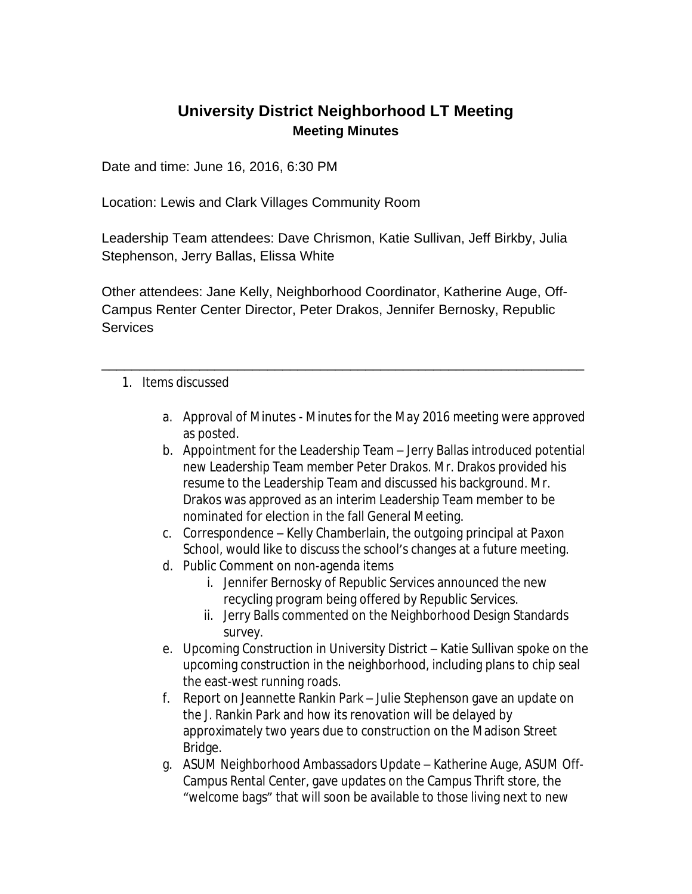## **University District Neighborhood LT Meeting Meeting Minutes**

Date and time: June 16, 2016, 6:30 PM

Location: Lewis and Clark Villages Community Room

Leadership Team attendees: Dave Chrismon, Katie Sullivan, Jeff Birkby, Julia Stephenson, Jerry Ballas, Elissa White

Other attendees: Jane Kelly, Neighborhood Coordinator, Katherine Auge, Off-Campus Renter Center Director, Peter Drakos, Jennifer Bernosky, Republic **Services** 

\_\_\_\_\_\_\_\_\_\_\_\_\_\_\_\_\_\_\_\_\_\_\_\_\_\_\_\_\_\_\_\_\_\_\_\_\_\_\_\_\_\_\_\_\_\_\_\_\_\_\_\_\_\_\_\_\_\_\_\_\_\_\_\_

- 1. Items discussed
	- a. Approval of Minutes Minutes for the May 2016 meeting were approved as posted.
	- b. Appointment for the Leadership Team Jerry Ballas introduced potential new Leadership Team member Peter Drakos. Mr. Drakos provided his resume to the Leadership Team and discussed his background. Mr. Drakos was approved as an interim Leadership Team member to be nominated for election in the fall General Meeting.
	- c. Correspondence Kelly Chamberlain, the outgoing principal at Paxon School, would like to discuss the school's changes at a future meeting.
	- d. Public Comment on non-agenda items
		- i. Jennifer Bernosky of Republic Services announced the new recycling program being offered by Republic Services.
		- ii. Jerry Balls commented on the Neighborhood Design Standards survey.
	- e. Upcoming Construction in University District Katie Sullivan spoke on the upcoming construction in the neighborhood, including plans to chip seal the east-west running roads.
	- f. Report on Jeannette Rankin Park Julie Stephenson gave an update on the J. Rankin Park and how its renovation will be delayed by approximately two years due to construction on the Madison Street Bridge.
	- g. ASUM Neighborhood Ambassadors Update Katherine Auge, ASUM Off-Campus Rental Center, gave updates on the Campus Thrift store, the "welcome bags" that will soon be available to those living next to new